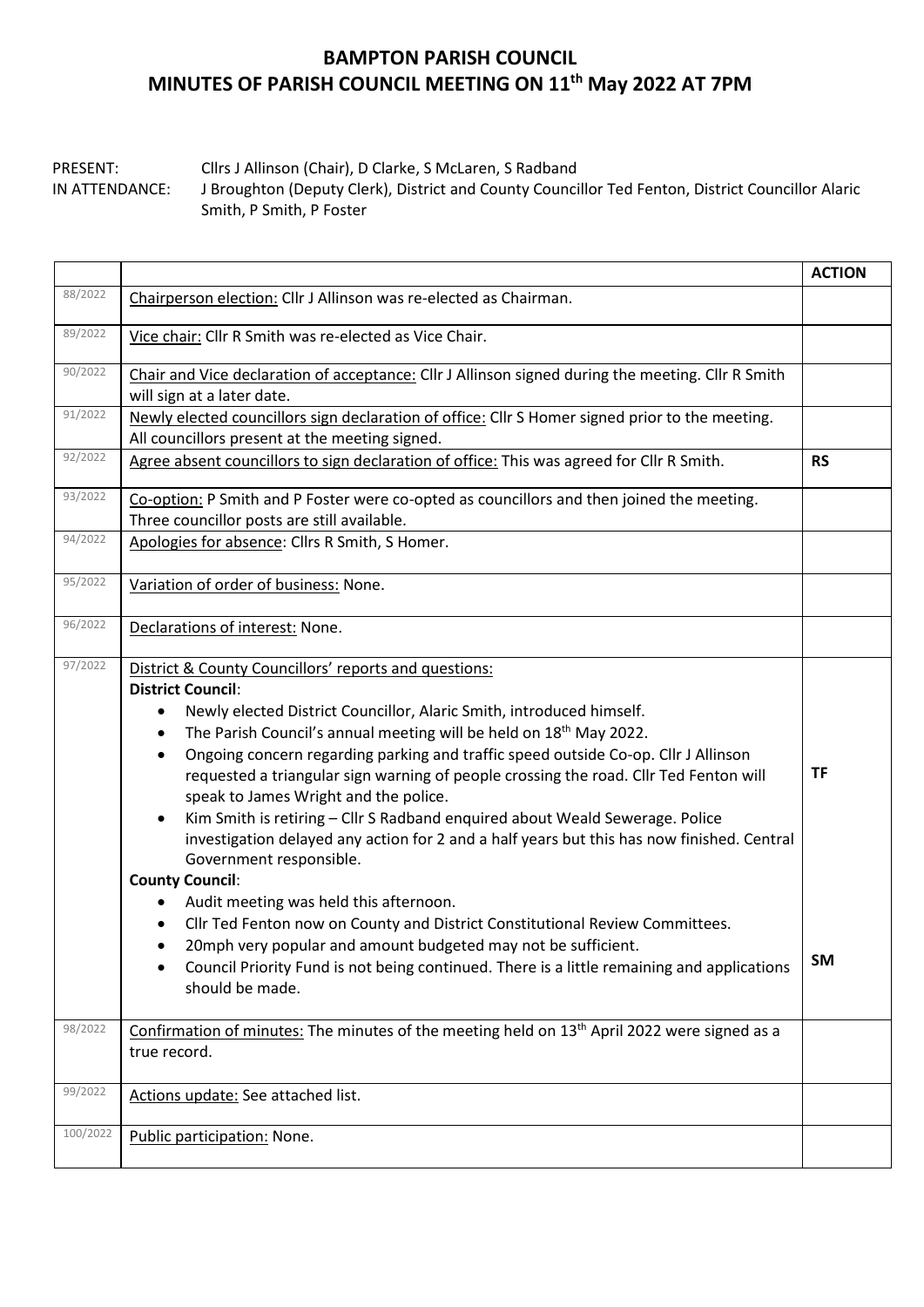## **BAMPTON PARISH COUNCIL MINUTES OF PARISH COUNCIL MEETING ON 11th May 2022 AT 7PM**

PRESENT: Cllrs J Allinson (Chair), D Clarke, S McLaren, S Radband IN ATTENDANCE: J Broughton (Deputy Clerk), District and County Councillor Ted Fenton, District Councillor Alaric Smith, P Smith, P Foster

|          |                                                                                                                                                                                                                                                                                                                                                                                                                                                                                                                                                                                                                                                                                                                                                                                                                                                                                                                                                                                                                                                                                       | <b>ACTION</b>   |  |  |  |  |
|----------|---------------------------------------------------------------------------------------------------------------------------------------------------------------------------------------------------------------------------------------------------------------------------------------------------------------------------------------------------------------------------------------------------------------------------------------------------------------------------------------------------------------------------------------------------------------------------------------------------------------------------------------------------------------------------------------------------------------------------------------------------------------------------------------------------------------------------------------------------------------------------------------------------------------------------------------------------------------------------------------------------------------------------------------------------------------------------------------|-----------------|--|--|--|--|
| 88/2022  | Chairperson election: Cllr J Allinson was re-elected as Chairman.                                                                                                                                                                                                                                                                                                                                                                                                                                                                                                                                                                                                                                                                                                                                                                                                                                                                                                                                                                                                                     |                 |  |  |  |  |
| 89/2022  | Vice chair: Cllr R Smith was re-elected as Vice Chair.                                                                                                                                                                                                                                                                                                                                                                                                                                                                                                                                                                                                                                                                                                                                                                                                                                                                                                                                                                                                                                |                 |  |  |  |  |
| 90/2022  | Chair and Vice declaration of acceptance: Cllr J Allinson signed during the meeting. Cllr R Smith<br>will sign at a later date.                                                                                                                                                                                                                                                                                                                                                                                                                                                                                                                                                                                                                                                                                                                                                                                                                                                                                                                                                       |                 |  |  |  |  |
| 91/2022  | Newly elected councillors sign declaration of office: Cllr S Homer signed prior to the meeting.<br>All councillors present at the meeting signed.                                                                                                                                                                                                                                                                                                                                                                                                                                                                                                                                                                                                                                                                                                                                                                                                                                                                                                                                     |                 |  |  |  |  |
| 92/2022  | Agree absent councillors to sign declaration of office: This was agreed for Cllr R Smith.                                                                                                                                                                                                                                                                                                                                                                                                                                                                                                                                                                                                                                                                                                                                                                                                                                                                                                                                                                                             |                 |  |  |  |  |
| 93/2022  | Co-option: P Smith and P Foster were co-opted as councillors and then joined the meeting.<br>Three councillor posts are still available.                                                                                                                                                                                                                                                                                                                                                                                                                                                                                                                                                                                                                                                                                                                                                                                                                                                                                                                                              |                 |  |  |  |  |
| 94/2022  | Apologies for absence: Cllrs R Smith, S Homer.                                                                                                                                                                                                                                                                                                                                                                                                                                                                                                                                                                                                                                                                                                                                                                                                                                                                                                                                                                                                                                        |                 |  |  |  |  |
| 95/2022  | Variation of order of business: None.                                                                                                                                                                                                                                                                                                                                                                                                                                                                                                                                                                                                                                                                                                                                                                                                                                                                                                                                                                                                                                                 |                 |  |  |  |  |
| 96/2022  | Declarations of interest: None.                                                                                                                                                                                                                                                                                                                                                                                                                                                                                                                                                                                                                                                                                                                                                                                                                                                                                                                                                                                                                                                       |                 |  |  |  |  |
| 97/2022  | District & County Councillors' reports and questions:<br><b>District Council:</b><br>Newly elected District Councillor, Alaric Smith, introduced himself.<br>٠<br>The Parish Council's annual meeting will be held on 18 <sup>th</sup> May 2022.<br>$\bullet$<br>Ongoing concern regarding parking and traffic speed outside Co-op. Cllr J Allinson<br>$\bullet$<br>requested a triangular sign warning of people crossing the road. Cllr Ted Fenton will<br>speak to James Wright and the police.<br>Kim Smith is retiring - Cllr S Radband enquired about Weald Sewerage. Police<br>$\bullet$<br>investigation delayed any action for 2 and a half years but this has now finished. Central<br>Government responsible.<br><b>County Council:</b><br>Audit meeting was held this afternoon.<br>Cllr Ted Fenton now on County and District Constitutional Review Committees.<br>٠<br>20mph very popular and amount budgeted may not be sufficient.<br>$\bullet$<br>Council Priority Fund is not being continued. There is a little remaining and applications<br>٠<br>should be made. | <b>TF</b><br>SM |  |  |  |  |
| 98/2022  | Confirmation of minutes: The minutes of the meeting held on 13 <sup>th</sup> April 2022 were signed as a<br>true record.                                                                                                                                                                                                                                                                                                                                                                                                                                                                                                                                                                                                                                                                                                                                                                                                                                                                                                                                                              |                 |  |  |  |  |
| 99/2022  | Actions update: See attached list.                                                                                                                                                                                                                                                                                                                                                                                                                                                                                                                                                                                                                                                                                                                                                                                                                                                                                                                                                                                                                                                    |                 |  |  |  |  |
| 100/2022 | Public participation: None.                                                                                                                                                                                                                                                                                                                                                                                                                                                                                                                                                                                                                                                                                                                                                                                                                                                                                                                                                                                                                                                           |                 |  |  |  |  |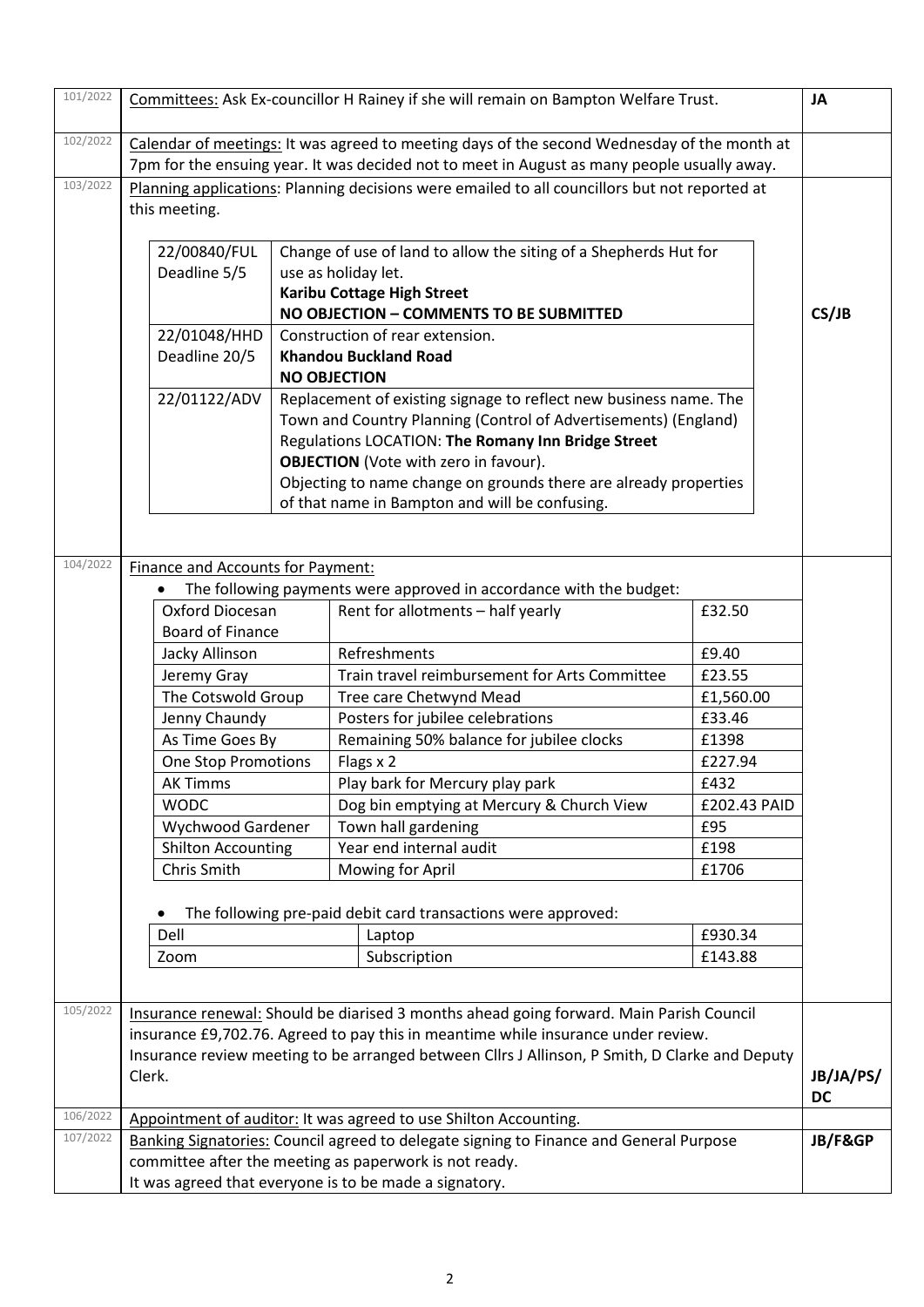| 101/2022 | Committees: Ask Ex-councillor H Rainey if she will remain on Bampton Welfare Trust.                                                                                                                                          |                                   |           |                                                                                                                                                                              |               | <b>JA</b> |  |  |
|----------|------------------------------------------------------------------------------------------------------------------------------------------------------------------------------------------------------------------------------|-----------------------------------|-----------|------------------------------------------------------------------------------------------------------------------------------------------------------------------------------|---------------|-----------|--|--|
|          |                                                                                                                                                                                                                              |                                   |           |                                                                                                                                                                              |               |           |  |  |
| 102/2022 | Calendar of meetings: It was agreed to meeting days of the second Wednesday of the month at                                                                                                                                  |                                   |           |                                                                                                                                                                              |               |           |  |  |
| 103/2022 | 7pm for the ensuing year. It was decided not to meet in August as many people usually away.<br>Planning applications: Planning decisions were emailed to all councillors but not reported at                                 |                                   |           |                                                                                                                                                                              |               |           |  |  |
|          | this meeting.                                                                                                                                                                                                                |                                   |           |                                                                                                                                                                              |               |           |  |  |
|          |                                                                                                                                                                                                                              |                                   |           |                                                                                                                                                                              |               |           |  |  |
|          | 22/00840/FUL                                                                                                                                                                                                                 |                                   |           |                                                                                                                                                                              |               |           |  |  |
|          | Change of use of land to allow the siting of a Shepherds Hut for<br>Deadline 5/5<br>use as holiday let.                                                                                                                      |                                   |           |                                                                                                                                                                              |               |           |  |  |
|          |                                                                                                                                                                                                                              | <b>Karibu Cottage High Street</b> |           |                                                                                                                                                                              |               |           |  |  |
|          | NO OBJECTION - COMMENTS TO BE SUBMITTED<br>22/01048/HHD<br>Construction of rear extension.                                                                                                                                   |                                   |           |                                                                                                                                                                              |               |           |  |  |
|          |                                                                                                                                                                                                                              |                                   |           |                                                                                                                                                                              |               |           |  |  |
|          | Deadline 20/5<br><b>Khandou Buckland Road</b><br><b>NO OBJECTION</b><br>22/01122/ADV<br>Replacement of existing signage to reflect new business name. The<br>Town and Country Planning (Control of Advertisements) (England) |                                   |           |                                                                                                                                                                              |               |           |  |  |
|          |                                                                                                                                                                                                                              |                                   |           |                                                                                                                                                                              |               |           |  |  |
|          |                                                                                                                                                                                                                              |                                   |           |                                                                                                                                                                              |               |           |  |  |
|          |                                                                                                                                                                                                                              |                                   |           |                                                                                                                                                                              |               |           |  |  |
|          | Regulations LOCATION: The Romany Inn Bridge Street                                                                                                                                                                           |                                   |           |                                                                                                                                                                              |               |           |  |  |
|          |                                                                                                                                                                                                                              |                                   |           | <b>OBJECTION</b> (Vote with zero in favour).                                                                                                                                 |               |           |  |  |
|          |                                                                                                                                                                                                                              |                                   |           | Objecting to name change on grounds there are already properties<br>of that name in Bampton and will be confusing.                                                           |               |           |  |  |
|          |                                                                                                                                                                                                                              |                                   |           |                                                                                                                                                                              |               |           |  |  |
|          |                                                                                                                                                                                                                              |                                   |           |                                                                                                                                                                              |               |           |  |  |
| 104/2022 | <b>Finance and Accounts for Payment:</b>                                                                                                                                                                                     |                                   |           |                                                                                                                                                                              |               |           |  |  |
|          |                                                                                                                                                                                                                              |                                   |           | The following payments were approved in accordance with the budget:                                                                                                          |               |           |  |  |
|          | Oxford Diocesan                                                                                                                                                                                                              |                                   |           | Rent for allotments - half yearly                                                                                                                                            | £32.50        |           |  |  |
|          | <b>Board of Finance</b>                                                                                                                                                                                                      |                                   |           |                                                                                                                                                                              |               |           |  |  |
|          | Jacky Allinson                                                                                                                                                                                                               |                                   |           | Refreshments                                                                                                                                                                 | £9.40         |           |  |  |
|          | Jeremy Gray<br>The Cotswold Group<br>Jenny Chaundy                                                                                                                                                                           |                                   |           | Train travel reimbursement for Arts Committee                                                                                                                                | £23.55        |           |  |  |
|          |                                                                                                                                                                                                                              |                                   |           | Tree care Chetwynd Mead                                                                                                                                                      | £1,560.00     |           |  |  |
|          |                                                                                                                                                                                                                              |                                   |           | Posters for jubilee celebrations                                                                                                                                             | £33.46        |           |  |  |
|          | As Time Goes By                                                                                                                                                                                                              |                                   |           | Remaining 50% balance for jubilee clocks                                                                                                                                     | £1398         |           |  |  |
|          | <b>One Stop Promotions</b>                                                                                                                                                                                                   |                                   |           | Flags x 2                                                                                                                                                                    | £227.94       |           |  |  |
|          | <b>AK Timms</b>                                                                                                                                                                                                              |                                   |           | Play bark for Mercury play park                                                                                                                                              | £432          |           |  |  |
|          | <b>WODC</b><br>Wychwood Gardener<br><b>Shilton Accounting</b><br>Chris Smith                                                                                                                                                 |                                   |           | Dog bin emptying at Mercury & Church View                                                                                                                                    | £202.43 PAID  |           |  |  |
|          |                                                                                                                                                                                                                              |                                   |           | Town hall gardening                                                                                                                                                          | £95           |           |  |  |
|          |                                                                                                                                                                                                                              |                                   |           | Year end internal audit<br>Mowing for April                                                                                                                                  | £198<br>£1706 |           |  |  |
|          |                                                                                                                                                                                                                              |                                   |           |                                                                                                                                                                              |               |           |  |  |
|          |                                                                                                                                                                                                                              |                                   |           | The following pre-paid debit card transactions were approved:                                                                                                                |               |           |  |  |
|          | Dell                                                                                                                                                                                                                         |                                   |           | Laptop                                                                                                                                                                       | £930.34       |           |  |  |
|          | Zoom                                                                                                                                                                                                                         |                                   |           | Subscription                                                                                                                                                                 | £143.88       |           |  |  |
|          |                                                                                                                                                                                                                              |                                   |           |                                                                                                                                                                              |               |           |  |  |
| 105/2022 |                                                                                                                                                                                                                              |                                   |           |                                                                                                                                                                              |               |           |  |  |
|          |                                                                                                                                                                                                                              |                                   |           | Insurance renewal: Should be diarised 3 months ahead going forward. Main Parish Council<br>insurance £9,702.76. Agreed to pay this in meantime while insurance under review. |               |           |  |  |
|          |                                                                                                                                                                                                                              |                                   |           | Insurance review meeting to be arranged between Cllrs J Allinson, P Smith, D Clarke and Deputy                                                                               |               |           |  |  |
|          | Clerk.                                                                                                                                                                                                                       |                                   | JB/JA/PS/ |                                                                                                                                                                              |               |           |  |  |
|          |                                                                                                                                                                                                                              |                                   |           |                                                                                                                                                                              |               |           |  |  |
| 106/2022 |                                                                                                                                                                                                                              |                                   |           | Appointment of auditor: It was agreed to use Shilton Accounting.                                                                                                             |               | <b>DC</b> |  |  |
| 107/2022 | Banking Signatories: Council agreed to delegate signing to Finance and General Purpose                                                                                                                                       |                                   |           |                                                                                                                                                                              |               |           |  |  |
|          | committee after the meeting as paperwork is not ready.                                                                                                                                                                       |                                   |           |                                                                                                                                                                              |               |           |  |  |
|          | It was agreed that everyone is to be made a signatory.                                                                                                                                                                       |                                   |           |                                                                                                                                                                              |               |           |  |  |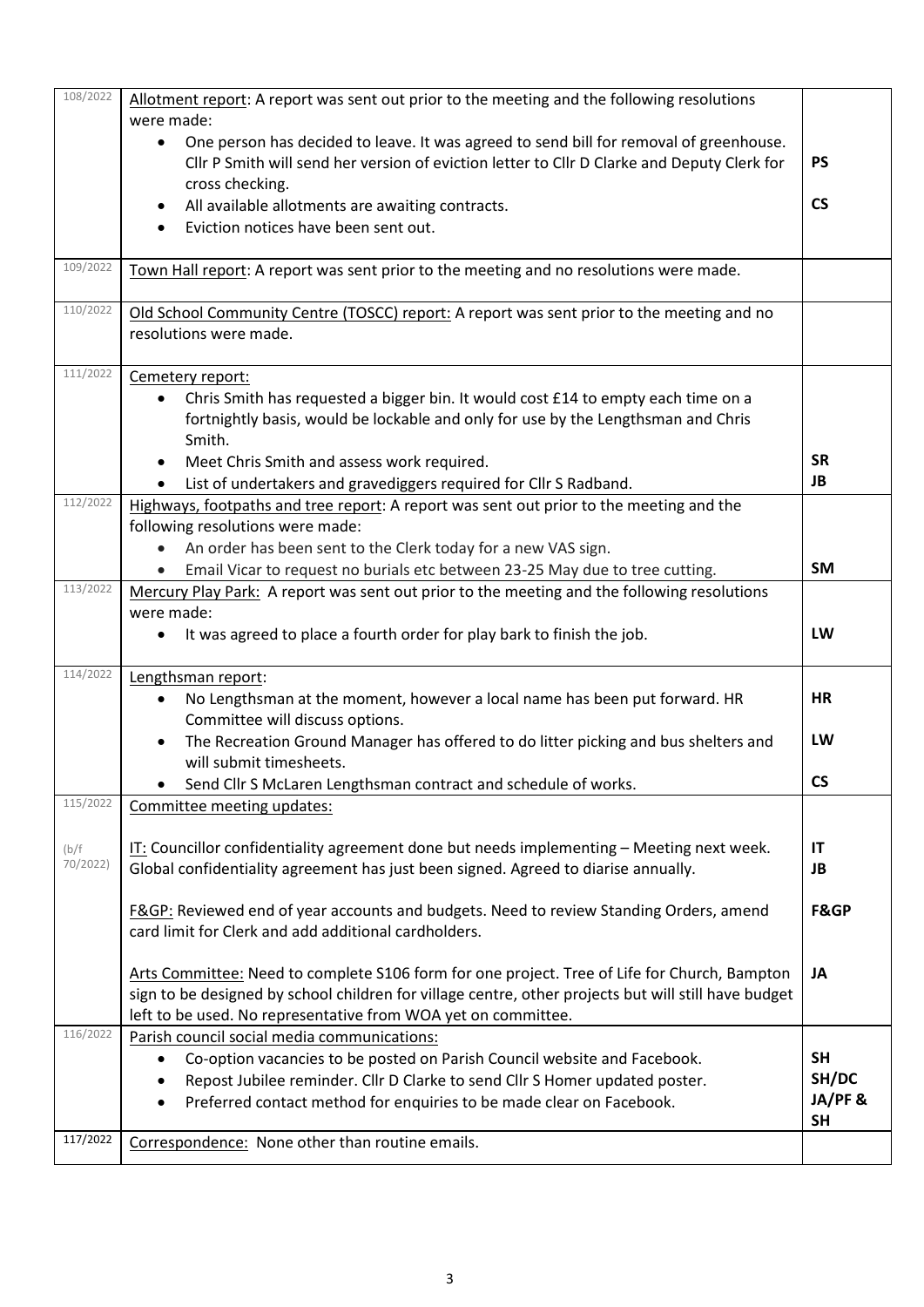| 108/2022          | Allotment report: A report was sent out prior to the meeting and the following resolutions<br>were made:                                                                                           |                          |  |  |  |  |  |  |  |
|-------------------|----------------------------------------------------------------------------------------------------------------------------------------------------------------------------------------------------|--------------------------|--|--|--|--|--|--|--|
|                   | One person has decided to leave. It was agreed to send bill for removal of greenhouse.<br>$\bullet$<br>Cllr P Smith will send her version of eviction letter to Cllr D Clarke and Deputy Clerk for | <b>PS</b>                |  |  |  |  |  |  |  |
|                   | cross checking.<br>All available allotments are awaiting contracts.                                                                                                                                | <b>CS</b>                |  |  |  |  |  |  |  |
|                   | Eviction notices have been sent out.                                                                                                                                                               |                          |  |  |  |  |  |  |  |
|                   |                                                                                                                                                                                                    |                          |  |  |  |  |  |  |  |
| 109/2022          | Town Hall report: A report was sent prior to the meeting and no resolutions were made.                                                                                                             |                          |  |  |  |  |  |  |  |
| 110/2022          | Old School Community Centre (TOSCC) report: A report was sent prior to the meeting and no                                                                                                          |                          |  |  |  |  |  |  |  |
|                   | resolutions were made.                                                                                                                                                                             |                          |  |  |  |  |  |  |  |
|                   |                                                                                                                                                                                                    |                          |  |  |  |  |  |  |  |
| 111/2022          | Cemetery report:                                                                                                                                                                                   |                          |  |  |  |  |  |  |  |
|                   | Chris Smith has requested a bigger bin. It would cost £14 to empty each time on a<br>$\bullet$                                                                                                     |                          |  |  |  |  |  |  |  |
|                   | fortnightly basis, would be lockable and only for use by the Lengthsman and Chris                                                                                                                  |                          |  |  |  |  |  |  |  |
|                   | Smith.                                                                                                                                                                                             | <b>SR</b>                |  |  |  |  |  |  |  |
|                   | Meet Chris Smith and assess work required.                                                                                                                                                         | JB                       |  |  |  |  |  |  |  |
| 112/2022          | List of undertakers and gravediggers required for Cllr S Radband.<br>$\bullet$                                                                                                                     |                          |  |  |  |  |  |  |  |
|                   | Highways, footpaths and tree report: A report was sent out prior to the meeting and the<br>following resolutions were made:                                                                        |                          |  |  |  |  |  |  |  |
|                   | An order has been sent to the Clerk today for a new VAS sign.<br>$\bullet$                                                                                                                         |                          |  |  |  |  |  |  |  |
|                   | Email Vicar to request no burials etc between 23-25 May due to tree cutting.                                                                                                                       | <b>SM</b>                |  |  |  |  |  |  |  |
| 113/2022          | Mercury Play Park: A report was sent out prior to the meeting and the following resolutions                                                                                                        |                          |  |  |  |  |  |  |  |
|                   | were made:                                                                                                                                                                                         |                          |  |  |  |  |  |  |  |
|                   | It was agreed to place a fourth order for play bark to finish the job.                                                                                                                             | LW                       |  |  |  |  |  |  |  |
|                   |                                                                                                                                                                                                    |                          |  |  |  |  |  |  |  |
| 114/2022          | Lengthsman report:                                                                                                                                                                                 |                          |  |  |  |  |  |  |  |
|                   | No Lengthsman at the moment, however a local name has been put forward. HR<br>$\bullet$                                                                                                            | <b>HR</b>                |  |  |  |  |  |  |  |
|                   | Committee will discuss options.                                                                                                                                                                    |                          |  |  |  |  |  |  |  |
|                   | The Recreation Ground Manager has offered to do litter picking and bus shelters and                                                                                                                | LW                       |  |  |  |  |  |  |  |
|                   | will submit timesheets.                                                                                                                                                                            |                          |  |  |  |  |  |  |  |
|                   | Send Cllr S McLaren Lengthsman contract and schedule of works.                                                                                                                                     | $\mathsf{CS}\phantom{0}$ |  |  |  |  |  |  |  |
| 115/2022          | Committee meeting updates:                                                                                                                                                                         |                          |  |  |  |  |  |  |  |
|                   | IT: Councillor confidentiality agreement done but needs implementing $-$ Meeting next week.                                                                                                        | IT                       |  |  |  |  |  |  |  |
| (b/f)<br>70/2022) | Global confidentiality agreement has just been signed. Agreed to diarise annually.                                                                                                                 | JB                       |  |  |  |  |  |  |  |
|                   |                                                                                                                                                                                                    |                          |  |  |  |  |  |  |  |
|                   | F&GP: Reviewed end of year accounts and budgets. Need to review Standing Orders, amend                                                                                                             | <b>F&amp;GP</b>          |  |  |  |  |  |  |  |
|                   | card limit for Clerk and add additional cardholders.                                                                                                                                               |                          |  |  |  |  |  |  |  |
|                   |                                                                                                                                                                                                    |                          |  |  |  |  |  |  |  |
|                   | Arts Committee: Need to complete S106 form for one project. Tree of Life for Church, Bampton                                                                                                       | JA                       |  |  |  |  |  |  |  |
|                   | sign to be designed by school children for village centre, other projects but will still have budget                                                                                               |                          |  |  |  |  |  |  |  |
|                   | left to be used. No representative from WOA yet on committee.                                                                                                                                      |                          |  |  |  |  |  |  |  |
| 116/2022          | Parish council social media communications:                                                                                                                                                        |                          |  |  |  |  |  |  |  |
|                   | Co-option vacancies to be posted on Parish Council website and Facebook.<br>$\bullet$                                                                                                              | <b>SH</b>                |  |  |  |  |  |  |  |
|                   | Repost Jubilee reminder. Cllr D Clarke to send Cllr S Homer updated poster.                                                                                                                        | SH/DC                    |  |  |  |  |  |  |  |
|                   | Preferred contact method for enquiries to be made clear on Facebook.<br>$\bullet$                                                                                                                  | JA/PF&                   |  |  |  |  |  |  |  |
| 117/2022          |                                                                                                                                                                                                    | <b>SH</b>                |  |  |  |  |  |  |  |
|                   | Correspondence: None other than routine emails.                                                                                                                                                    |                          |  |  |  |  |  |  |  |